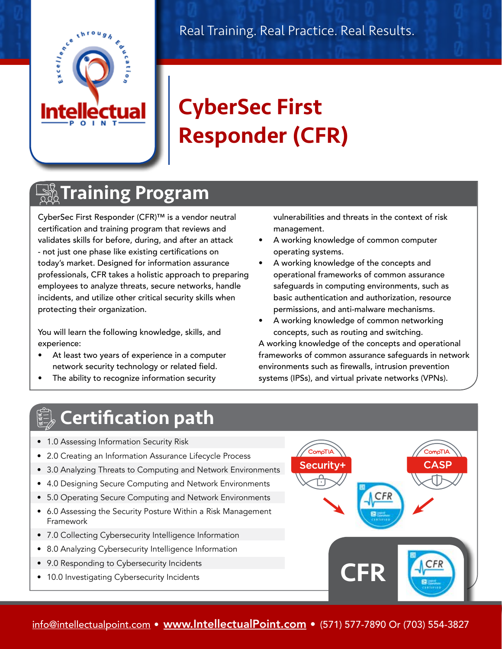

# CyberSec First Responder (CFR)

### **<u> Alla</u> Training Program**

CyberSec First Responder (CFR)™ is a vendor neutral certification and training program that reviews and validates skills for before, during, and after an attack - not just one phase like existing certifications on today's market. Designed for information assurance professionals, CFR takes a holistic approach to preparing employees to analyze threats, secure networks, handle incidents, and utilize other critical security skills when protecting their organization.

You will learn the following knowledge, skills, and experience:

- At least two years of experience in a computer network security technology or related field.
- The ability to recognize information security

vulnerabilities and threats in the context of risk management.

- A working knowledge of common computer operating systems.
- A working knowledge of the concepts and operational frameworks of common assurance safeguards in computing environments, such as basic authentication and authorization, resource permissions, and anti-malware mechanisms.
- A working knowledge of common networking concepts, such as routing and switching.

A working knowledge of the concepts and operational frameworks of common assurance safeguards in network environments such as firewalls, intrusion prevention systems (IPSs), and virtual private networks (VPNs).

## Certification path

- 1.0 Assessing Information Security Risk
- 2.0 Creating an Information Assurance Lifecycle Process
- 3.0 Analyzing Threats to Computing and Network Environments
- 4.0 Designing Secure Computing and Network Environments
- 5.0 Operating Secure Computing and Network Environments
- 6.0 Assessing the Security Posture Within a Risk Management Framework
- 7.0 Collecting Cybersecurity Intelligence Information
- 8.0 Analyzing Cybersecurity Intelligence Information
- 9.0 Responding to Cybersecurity Incidents
- 10.0 Investigating Cybersecurity Incidents